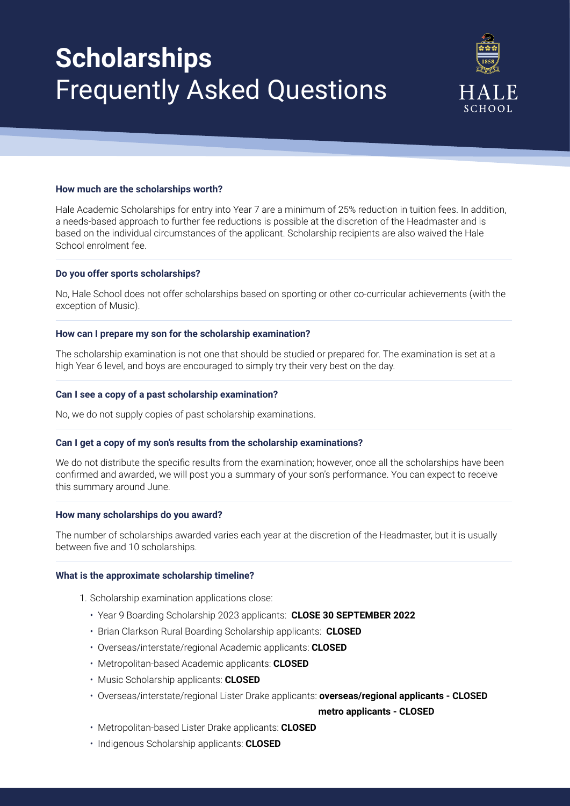# **Scholarships**  Frequently Asked Questions



# **How much are the scholarships worth?**

Hale Academic Scholarships for entry into Year 7 are a minimum of 25% reduction in tuition fees. In addition, a needs-based approach to further fee reductions is possible at the discretion of the Headmaster and is based on the individual circumstances of the applicant. Scholarship recipients are also waived the Hale School enrolment fee.

# **Do you offer sports scholarships?**

No, Hale School does not offer scholarships based on sporting or other co-curricular achievements (with the exception of Music).

### **How can I prepare my son for the scholarship examination?**

The scholarship examination is not one that should be studied or prepared for. The examination is set at a high Year 6 level, and boys are encouraged to simply try their very best on the day.

# **Can I see a copy of a past scholarship examination?**

No, we do not supply copies of past scholarship examinations.

#### **Can I get a copy of my son's results from the scholarship examinations?**

We do not distribute the specific results from the examination; however, once all the scholarships have been confirmed and awarded, we will post you a summary of your son's performance. You can expect to receive this summary around June.

#### **How many scholarships do you award?**

The number of scholarships awarded varies each year at the discretion of the Headmaster, but it is usually between five and 10 scholarships.

#### **What is the approximate scholarship timeline?**

- 1. Scholarship examination applications close:
	- Year 9 Boarding Scholarship 2023 applicants: **CLOSE 30 SEPTEMBER 2022**
	- Brian Clarkson Rural Boarding Scholarship applicants: **CLOSED**
	- Overseas/interstate/regional Academic applicants: **CLOSED**
	- Metropolitan-based Academic applicants: **CLOSED**
	- Music Scholarship applicants: **CLOSED**
	- Overseas/interstate/regional Lister Drake applicants: **overseas/regional applicants CLOSED**

 **metro applicants - CLOSED**

- Metropolitan-based Lister Drake applicants: **CLOSED**
- Indigenous Scholarship applicants: **CLOSED**